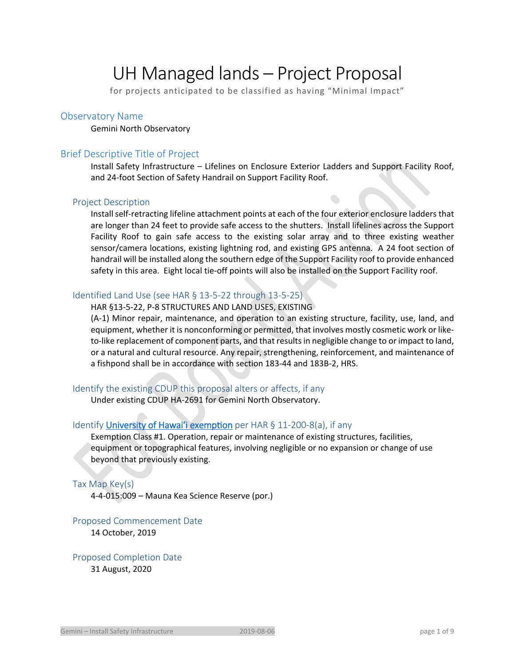# UH Managed lands – Project Proposal

for projects anticipated to be classified as having "Minimal Impact"

## Observatory Name

#### Gemini North Observatory

# Brief Descriptive Title of Project

Install Safety Infrastructure – Lifelines on Enclosure Exterior Ladders and Support Facility Roof, and 24‐foot Section of Safety Handrail on Support Facility Roof.

#### Project Description

Install self‐retracting lifeline attachment points at each of the four exterior enclosure ladders that are longer than 24 feet to provide safe access to the shutters. Install lifelines across the Support Facility Roof to gain safe access to the existing solar array and to three existing weather sensor/camera locations, existing lightning rod, and existing GPS antenna. A 24 foot section of handrail will be installed along the southern edge of the Support Facility roof to provide enhanced safety in this area. Eight local tie-off points will also be installed on the Support Facility roof.

# Identified Land Use (see HAR § 13-5-22 through 13-5-25)

#### HAR §13‐5‐22, P‐8 STRUCTURES AND LAND USES, EXISTING

(A‐1) Minor repair, maintenance, and operation to an existing structure, facility, use, land, and equipment, whether it is nonconforming or permitted, that involves mostly cosmetic work or like‐ to‐like replacement of component parts, and that results in negligible change to or impact to land, or a natural and cultural resource. Any repair, strengthening, reinforcement, and maintenance of a fishpond shall be in accordance with section 183‐44 and 183B‐2, HRS.

# Identify the existing CDUP this proposal alters or affects, if any

Under existing CDUP HA‐2691 for Gemini North Observatory.

# Identify University of Hawai'i exemption per HAR § 11-200-8(a), if any

Exemption Class #1. Operation, repair or maintenance of existing structures, facilities, equipment or topographical features, involving negligible or no expansion or change of use beyond that previously existing.

#### Tax Map Key(s)

4‐4‐015:009 – Mauna Kea Science Reserve (por.)

#### Proposed Commencement Date

14 October, 2019

# Proposed Completion Date 31 August, 2020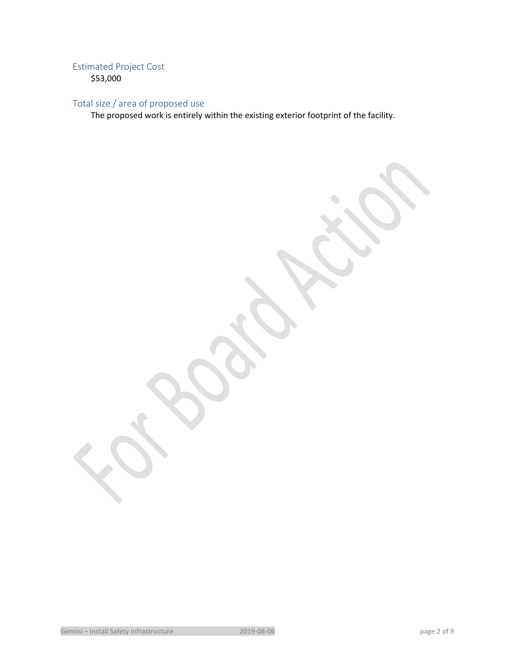# Estimated Project Cost

\$53,000

# Total size / area of proposed use

The proposed work is entirely within the existing exterior footprint of the facility.

Gemini – Install Safety Infrastructure 2019-08-06 page 2 of 9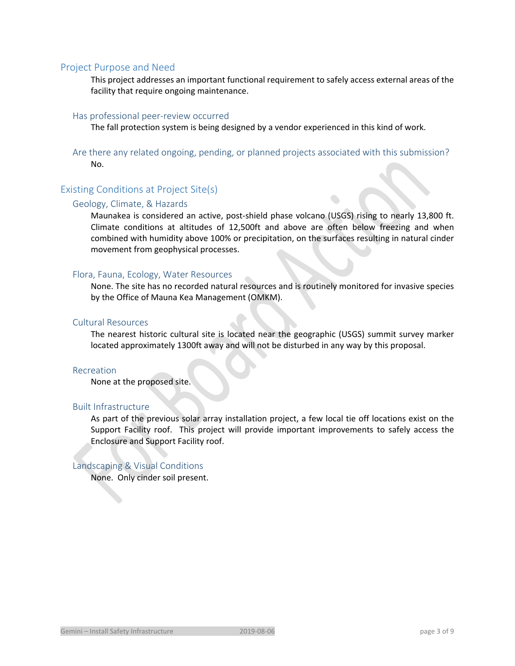## Project Purpose and Need

This project addresses an important functional requirement to safely access external areas of the facility that require ongoing maintenance.

## Has professional peer‐review occurred

The fall protection system is being designed by a vendor experienced in this kind of work.

Are there any related ongoing, pending, or planned projects associated with this submission? No.

# Existing Conditions at Project Site(s)

#### Geology, Climate, & Hazards

Maunakea is considered an active, post-shield phase volcano (USGS) rising to nearly 13,800 ft. Climate conditions at altitudes of 12,500ft and above are often below freezing and when combined with humidity above 100% or precipitation, on the surfaces resulting in natural cinder movement from geophysical processes.

#### Flora, Fauna, Ecology, Water Resources

None. The site has no recorded natural resources and is routinely monitored for invasive species by the Office of Mauna Kea Management (OMKM).

#### Cultural Resources

The nearest historic cultural site is located near the geographic (USGS) summit survey marker located approximately 1300ft away and will not be disturbed in any way by this proposal.

#### Recreation

None at the proposed site.

### Built Infrastructure

As part of the previous solar array installation project, a few local tie off locations exist on the Support Facility roof. This project will provide important improvements to safely access the Enclosure and Support Facility roof.

#### Landscaping & Visual Conditions

the contract of the contract of the

None. Only cinder soil present.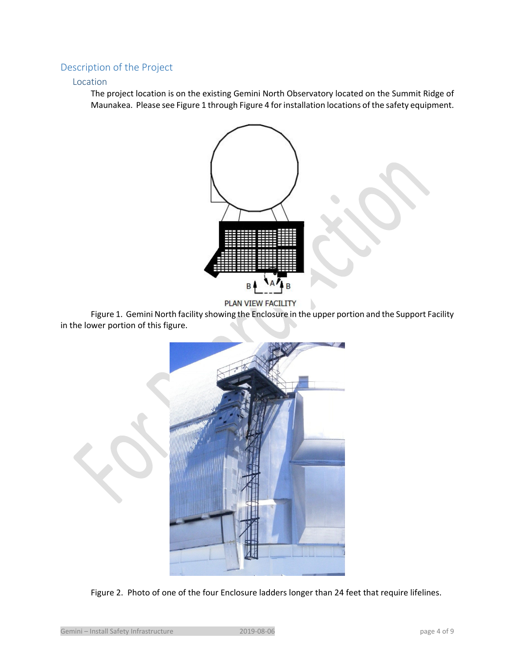# Description of the Project

# Location

The project location is on the existing Gemini North Observatory located on the Summit Ridge of Maunakea. Please see Figure 1 through Figure 4 for installation locations of the safety equipment.



b



 Figure 1. Gemini North facility showing the Enclosure in the upper portion and the Support Facility in the lower portion of this figure.



Figure 2. Photo of one of the four Enclosure ladders longer than 24 feet that require lifelines.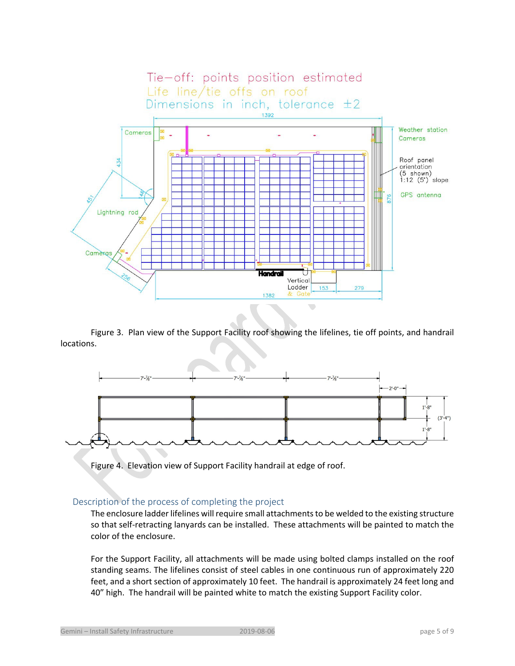

 Figure 3. Plan view of the Support Facility roof showing the lifelines, tie off points, and handrail locations.



Figure 4. Elevation view of Support Facility handrail at edge of roof.

# Description of the process of completing the project

The enclosure ladder lifelines will require small attachments to be welded to the existing structure so that self-retracting lanyards can be installed. These attachments will be painted to match the color of the enclosure.

For the Support Facility, all attachments will be made using bolted clamps installed on the roof standing seams. The lifelines consist of steel cables in one continuous run of approximately 220 feet, and a short section of approximately 10 feet. The handrail is approximately 24 feet long and 40" high. The handrail will be painted white to match the existing Support Facility color.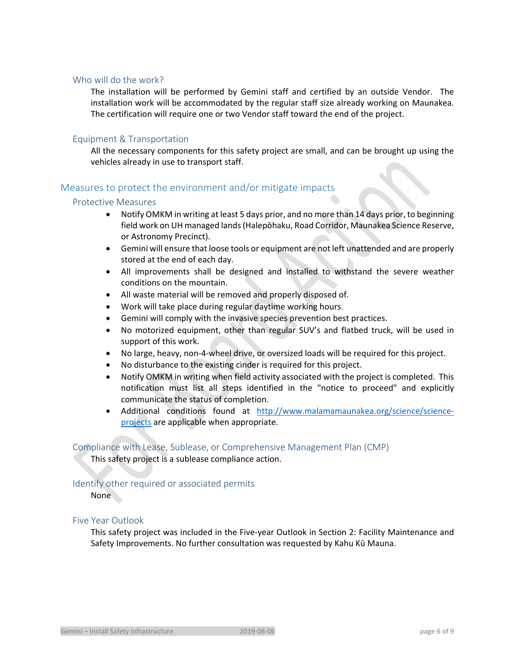# Who will do the work?

The installation will be performed by Gemini staff and certified by an outside Vendor. The installation work will be accommodated by the regular staff size already working on Maunakea. The certification will require one or two Vendor staff toward the end of the project.

## Equipment & Transportation

All the necessary components for this safety project are small, and can be brought up using the vehicles already in use to transport staff.

# Measures to protect the environment and/or mitigate impacts

#### Protective Measures

- Notify OMKM in writing at least 5 days prior, and no more than 14 days prior, to beginning field work on UH managed lands (Halepōhaku, Road Corridor, Maunakea Science Reserve, or Astronomy Precinct).
- Gemini will ensure that loose tools or equipment are not left unattended and are properly stored at the end of each day.
- All improvements shall be designed and installed to withstand the severe weather conditions on the mountain.
- All waste material will be removed and properly disposed of.
- Work will take place during regular daytime working hours.
- Gemini will comply with the invasive species prevention best practices.
- No motorized equipment, other than regular SUV's and flatbed truck, will be used in support of this work.
- No large, heavy, non-4-wheel drive, or oversized loads will be required for this project.
- No disturbance to the existing cinder is required for this project.
- Notify OMKM in writing when field activity associated with the project is completed. This notification must list all steps identified in the "notice to proceed" and explicitly communicate the status of completion.
- Additional conditions found at http://www.malamamaunakea.org/science/scienceprojects are applicable when appropriate.

#### Compliance with Lease, Sublease, or Comprehensive Management Plan (CMP)

This safety project is a sublease compliance action.

#### Identify other required or associated permits

**None** 

# Five Year Outlook

This safety project was included in the Five-year Outlook in Section 2: Facility Maintenance and Safety Improvements. No further consultation was requested by Kahu Kū Mauna.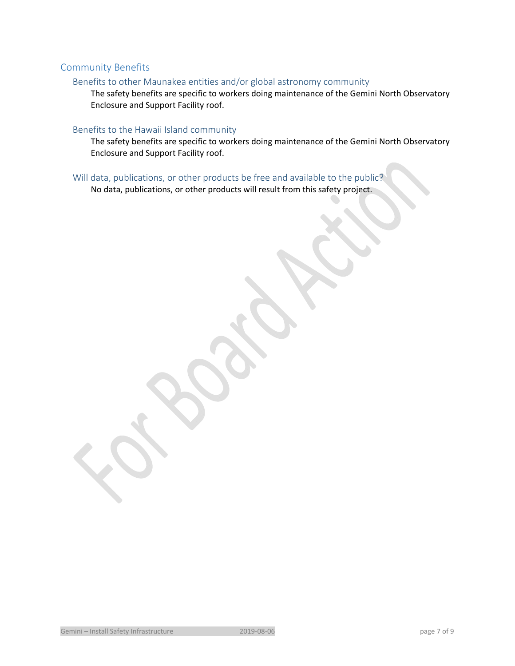# Community Benefits

# Benefits to other Maunakea entities and/or global astronomy community

The safety benefits are specific to workers doing maintenance of the Gemini North Observatory Enclosure and Support Facility roof.

# Benefits to the Hawaii Island community

The safety benefits are specific to workers doing maintenance of the Gemini North Observatory Enclosure and Support Facility roof.

Will data, publications, or other products be free and available to the public?

No data, publications, or other products will result from this safety project.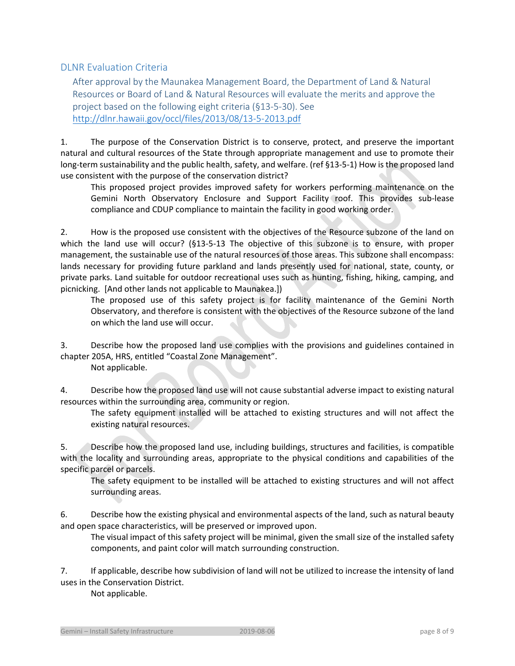# DLNR Evaluation Criteria

After approval by the Maunakea Management Board, the Department of Land & Natural Resources or Board of Land & Natural Resources will evaluate the merits and approve the project based on the following eight criteria (§13‐5‐30). See http://dlnr.hawaii.gov/occl/files/2013/08/13‐5‐2013.pdf

1. The purpose of the Conservation District is to conserve, protect, and preserve the important natural and cultural resources of the State through appropriate management and use to promote their long‐term sustainability and the public health, safety, and welfare. (ref §13‐5‐1) How is the proposed land use consistent with the purpose of the conservation district?

This proposed project provides improved safety for workers performing maintenance on the Gemini North Observatory Enclosure and Support Facility roof. This provides sub‐lease compliance and CDUP compliance to maintain the facility in good working order.

2. How is the proposed use consistent with the objectives of the Resource subzone of the land on which the land use will occur? (§13-5-13 The objective of this subzone is to ensure, with proper management, the sustainable use of the natural resources of those areas. This subzone shall encompass: lands necessary for providing future parkland and lands presently used for national, state, county, or private parks. Land suitable for outdoor recreational uses such as hunting, fishing, hiking, camping, and picnicking. [And other lands not applicable to Maunakea.])

The proposed use of this safety project is for facility maintenance of the Gemini North Observatory, and therefore is consistent with the objectives of the Resource subzone of the land on which the land use will occur.

3. Describe how the proposed land use complies with the provisions and guidelines contained in chapter 205A, HRS, entitled "Coastal Zone Management".

Not applicable.

4. Describe how the proposed land use will not cause substantial adverse impact to existing natural resources within the surrounding area, community or region.

The safety equipment installed will be attached to existing structures and will not affect the existing natural resources.

5. Describe how the proposed land use, including buildings, structures and facilities, is compatible with the locality and surrounding areas, appropriate to the physical conditions and capabilities of the specific parcel or parcels.

The safety equipment to be installed will be attached to existing structures and will not affect surrounding areas.

6. Describe how the existing physical and environmental aspects of the land, such as natural beauty and open space characteristics, will be preserved or improved upon.

The visual impact of this safety project will be minimal, given the small size of the installed safety components, and paint color will match surrounding construction.

7. If applicable, describe how subdivision of land will not be utilized to increase the intensity of land uses in the Conservation District.

Not applicable.